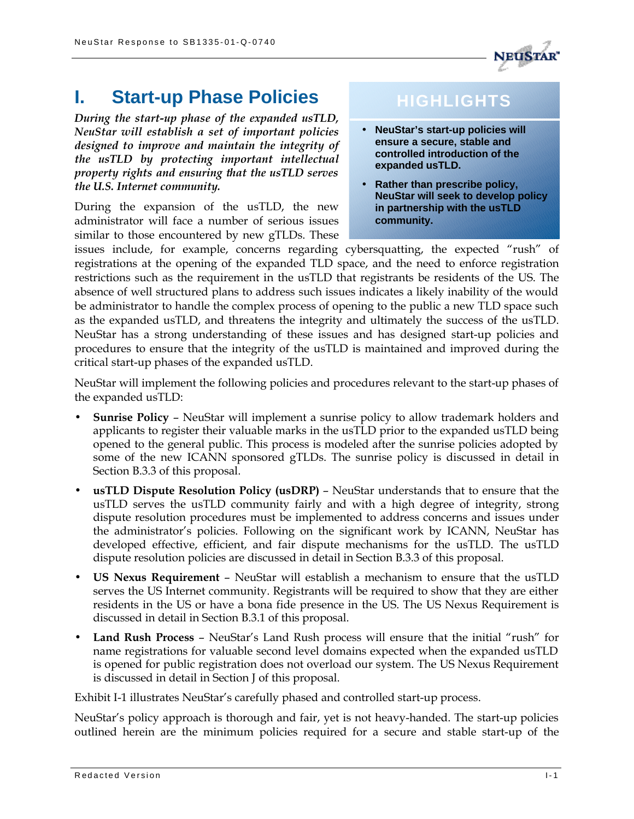*During the start-up phase of the expanded usTLD, NeuStar will establish a set of important policies designed to improve and maintain the integrity of the usTLD by protecting important intellectual property rights and ensuring that the usTLD serves the U.S. Internet community.*

**I. Start-up Phase Policies**

During the expansion of the usTLD, the new administrator will face a number of serious issues similar to those encountered by new gTLDs. These

## **HIGHLIGHTS**

- **NeuStar's start-up policies will ensure a secure, stable and controlled introduction of the expanded usTLD.**
- **Rather than prescribe policy, NeuStar will seek to develop policy in partnership with the usTLD community.**

issues include, for example, concerns regarding cybersquatting, the expected "rush" of registrations at the opening of the expanded TLD space, and the need to enforce registration restrictions such as the requirement in the usTLD that registrants be residents of the US. The absence of well structured plans to address such issues indicates a likely inability of the would be administrator to handle the complex process of opening to the public a new TLD space such as the expanded usTLD, and threatens the integrity and ultimately the success of the usTLD. NeuStar has a strong understanding of these issues and has designed start-up policies and procedures to ensure that the integrity of the usTLD is maintained and improved during the critical start-up phases of the expanded usTLD.

NeuStar will implement the following policies and procedures relevant to the start-up phases of the expanded usTLD:

- **Sunrise Policy** NeuStar will implement a sunrise policy to allow trademark holders and applicants to register their valuable marks in the usTLD prior to the expanded usTLD being opened to the general public. This process is modeled after the sunrise policies adopted by some of the new ICANN sponsored gTLDs. The sunrise policy is discussed in detail in Section B.3.3 of this proposal.
- **usTLD Dispute Resolution Policy (usDRP)** NeuStar understands that to ensure that the usTLD serves the usTLD community fairly and with a high degree of integrity, strong dispute resolution procedures must be implemented to address concerns and issues under the administrator's policies. Following on the significant work by ICANN, NeuStar has developed effective, efficient, and fair dispute mechanisms for the usTLD. The usTLD dispute resolution policies are discussed in detail in Section B.3.3 of this proposal.
- **US Nexus Requirement** NeuStar will establish a mechanism to ensure that the usTLD serves the US Internet community. Registrants will be required to show that they are either residents in the US or have a bona fide presence in the US. The US Nexus Requirement is discussed in detail in Section B.3.1 of this proposal.
- **Land Rush Process** NeuStar's Land Rush process will ensure that the initial "rush" for name registrations for valuable second level domains expected when the expanded usTLD is opened for public registration does not overload our system. The US Nexus Requirement is discussed in detail in Section J of this proposal.

Exhibit I-1 illustrates NeuStar's carefully phased and controlled start-up process.

NeuStar's policy approach is thorough and fair, yet is not heavy-handed. The start-up policies outlined herein are the minimum policies required for a secure and stable start-up of the